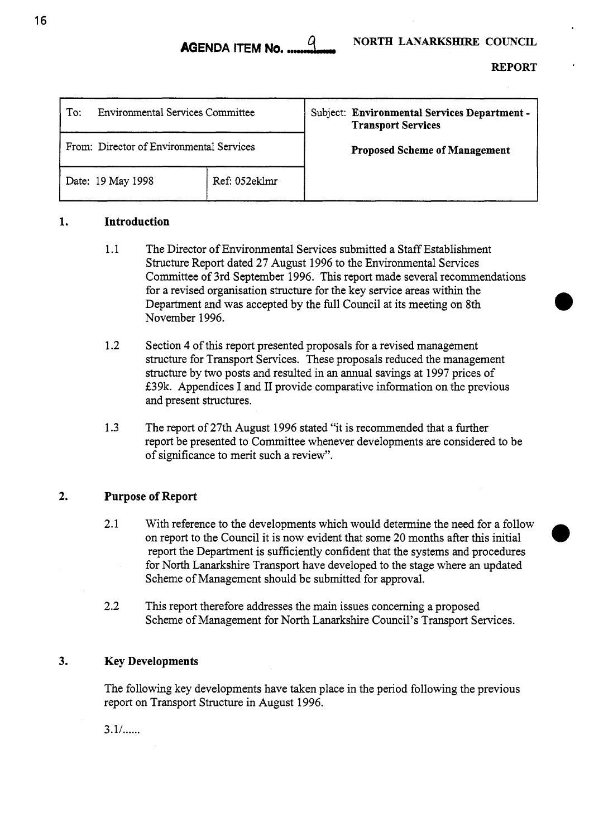*0* 

| <b>Environmental Services Committee</b><br>To: |               | Subject: Environmental Services Department -<br><b>Transport Services</b> |
|------------------------------------------------|---------------|---------------------------------------------------------------------------|
| From: Director of Environmental Services       |               | <b>Proposed Scheme of Management</b>                                      |
| Date: 19 May 1998                              | Ref: 052eklmr |                                                                           |

### **1. Introduction**

- 1.1 The Director of Environmental Services submitted a Staff Establishment Structure Report dated **27** August 1996 to the Environmental Services Committee of 3rd September 1996. This report made several recommendations for a revised organisation structure for the key service areas within the Department and was accepted by the full Council at its meeting on 8th November 1996.
- 1.2 Section **4** of this report presented proposals for a revised management structure for Transport Services. These proposals reduced the management structure by two posts and resulted in an annual savings at 1997 prices of E39k. Appendices I and I1 provide comparative information on the previous and present structures.
- 1.3 The report of 27th August 1996 stated "it is recommended that a further report be presented to Committee whenever developments are considered to be of significance to merit such a review".

### **2. Purpose of Report**

- 2.1 With reference to the developments which would determine the need for a follow<br>on report to the Council it is now evident that some 20 months after this initial report the Department is sufficiently confident that the systems and procedures for North Lanarkshire Transport have developed to the stage where an updated Scheme of Management should be submitted for approval.
- *2.2* This report therefore addresses the main issues concerning a proposed Scheme of Management for North Lanarkshire Council's Transport Services.

### **3.** Key Developments

The following key developments have taken place in the period following the previous report on Transport Structure in August 1996.

 $3.1/$ ......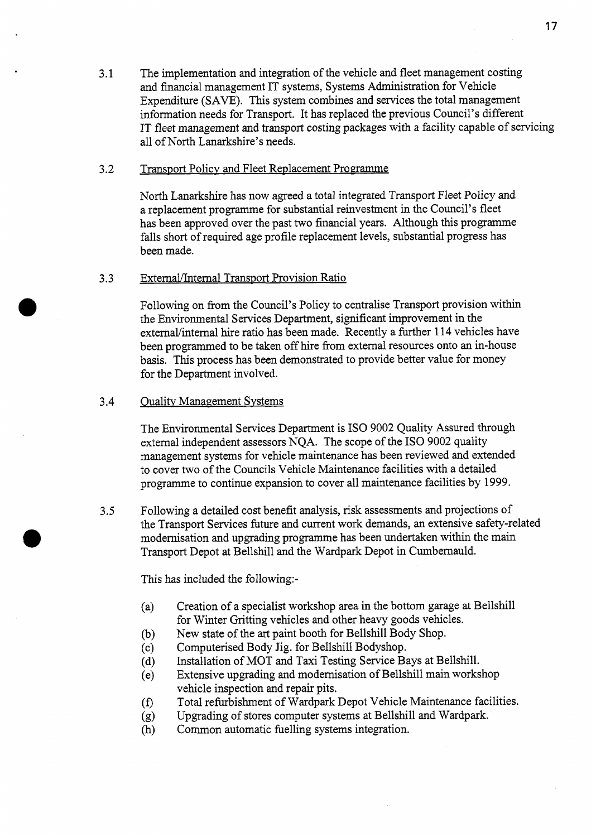3.1 The implementation and integration of the vehicle and fleet management costing and financial management IT systems, Systems Administration for Vehicle Expenditure (SAVE). This system combines and services the total management information needs for Transport. It has replaced the previous Council's different IT fleet management and transport costing packages with a facility capable of servicing all of North Lanarkshire's needs.

### 3.2 Transport Policy and Fleet Replacement Programme

North Lanarkshire has now agreed a total integrated Transport Fleet Policy and a replacement programme for substantial reinvestment in the Council's fleet has been approved over the past two financial years. Although this programme falls short of required age profile replacement levels, substantial progress has been made.

### 3.3 External/Internal Transport Provision Ratio

Following on from the Council's Policy to centralise Transport provision within the Environmental Services Department, significant improvement in the external/internal hire ratio has been made. Recently a further 114 vehicles have been programmed to be taken off hire from external resources onto an in-house basis. This process has been demonstrated to provide better value for money for the Department involved.

### 3.4 Ouality Management Systems

The Environmental Services Department is IS0 9002 Quality Assured through external independent assessors NQA. The scope of the IS0 9002 quality management systems for vehicle maintenance has been reviewed and extended to cover two of the Councils Vehicle Maintenance facilities with a detailed programme to continue expansion to cover all maintenance facilities by 1999.

*3.5* Following a detailed cost benefit analysis, risk assessments and projections of the Transport Services future and current work demands, an extensive safety-related modernisation and upgrading programme has been undertaken within the main Transport Depot at Bellshill and the Wardpark Depot in Cumbernauld.

This has included the following:-

- (a) Creation of a specialist workshop area in the bottom garage at Bellshill for Winter Gritting vehicles and other heavy goods vehicles.
- New state of the art paint booth for Bellshill Body Shop.  $(b)$
- Computerised Body Jig. for Bellshill Bodyshop.  $(c)$
- Installation of MOT and Taxi Testing Service Bays at Bellshill.  $(d)$
- Extensive upgrading and modemisation of Bellshill main workshop  $(e)$ vehicle inspection and repair pits.
- Total refurbishment of Wardpark Depot Vehicle Maintenance facilities.  $(f)$
- Upgrading of stores computer systems at Bellshill and Wardpark.  $(g)$
- Common automatic fuelling systems integration.  $(h)$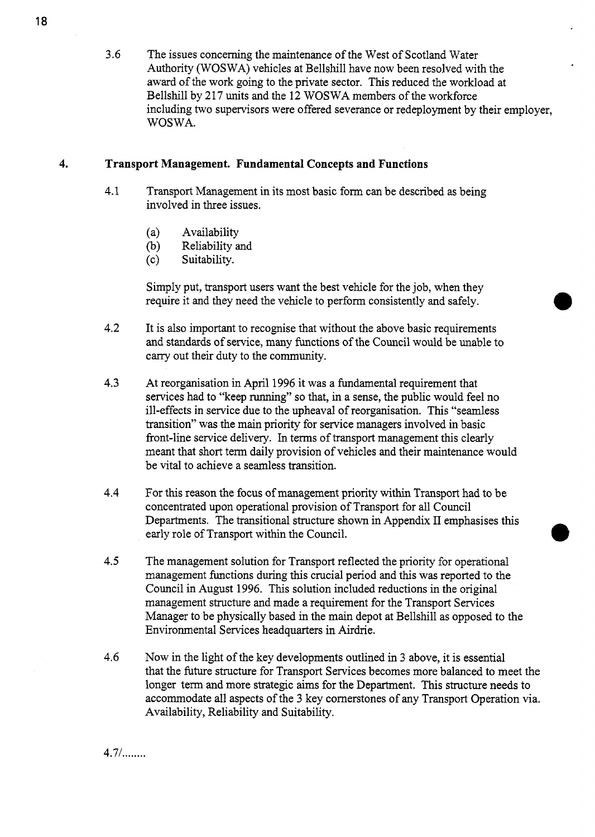3.6 The issues concerning the maintenance of the West of Scotland Water Authority (WOSWA) vehicles at Bellshill have now been resolved with the award of the work going to the private sector. This reduced the workload at Bellshill by 217 units and the 12 WOSWA members of the workforce including two supervisors were offered severance or redeployment by their employer, WOSWA.

### **4. Transport Management. Fundamental Concepts and Functions**

- 4.1 Transport Management in its most basic form can be described as being involved in three issues.
	- (a) Availability
	- (b) Reliability and
	- (c) Suitability.

Simply put, transport users want the best vehicle for the job, when they require it and they need the vehicle to perform consistently **and** safely.

- 4.2 It is also important to recognise that without the above basic requirements and standards of service, many functions of the Council would be unable to cany out their duty to the community.
- 4.3 At reorganisation in April 1996 it was a fundamental requirement that services had to "keep running" so that, in a sense, the public would feel no ill-effects in service due to the upheaval of reorganisation. This "seamless transition" was the main priority for service managers involved in basic front-line service delivery. In terms of transport management this clearly meant that short term daily provision of vehicles and their maintenance would be vital to achieve a seamless transition.
- 4.4 For this reason the focus of management priority within Transport had to be concentrated upon operational provision of Transport for all Council Departments. The transitional structure shown in Appendix I1 emphasises this early role of Transport within the Council.
- 4.5 The management solution for Transport reflected the priority for operational management functions during this crucial period and this was reported to the Council in August 1996. This solution included reductions in the original management structure and made a requirement for the Transport Services Manager to be physically based in the main depot at Bellshill as opposed to the Environmental Services headquarters in Airdrie.
- 4.6 Now in the light of the key developments outlined in 3 above, it is essential that the future structure for Transport Services becomes more balanced to meet the longer term and more strategic aims for the Department. This structure needs to accommodate all aspects of the 3 key cornerstones of any Transport Operation via. Availability, Reliability and Suitability.

 $4.7 /$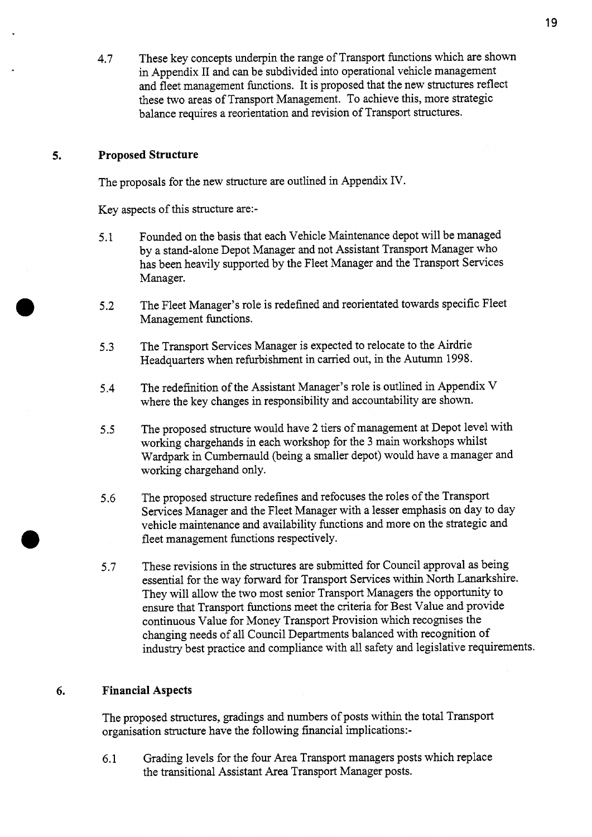4.7 These key concepts underpin the range of Transport functions which are shown in Appendix I1 and can be subdivided into operational vehicle management and fleet management functions. It is proposed that the new structures reflect these two areas of Transport Management. To achieve this, more strategic balance requires a reorientation and revision of Transport structures.

#### **5. Proposed Structure**

The proposals for the new structure are outlined in Appendix IV.

Key aspects of this structure are:-

- 5.1 Founded on the basis that each Vehicle Maintenance depot will be managed by a stand-alone Depot Manager and not Assistant Transport Manager who has been heavily supported by the Fleet Manager and the Transport Services Manager.
- **5.2**  The Fleet Manager's role is redefined and reorientated towards specific Fleet Management functions.
- **5.3**  The Transport Services Manager is expected to relocate to the Airdrie Headquarters when refurbishment in carried out, in the Autumn 1998.
- 5.4 The redefinition of the Assistant Manager's role is outlined in Appendix V where the key changes in responsibility and accountability are shown.
- *5.5*  The proposed structure would have **2** tiers of management at Depot level with working chargehands in each workshop for the 3 main workshops whilst Wardpark in Cumbemauld (being a smaller depot) would have a manager and working chargehand only.
- *5.6*  The proposed structure redefines and refocuses the roles of the Transport Services Manager and the Fleet Manager with a lesser emphasis on day to day vehicle maintenance and availability functions and more on the strategic and fleet management functions respectively.
- **5.7**  These revisions in the structures are submitted for Council approval as being essential for the way forward for Transport Services within North Lanarkshire. They will allow the two most senior Transport Managers the opportunity to ensure that Transport functions meet the criteria for Best Value and provide continuous Value for Money Transport Provision which recognises the changing needs of all Council Departments balanced with recognition of industry best practice and compliance with all safety and legislative requirements.

### **6. Financial Aspects**

The proposed structures, gradings and numbers of posts within the total Transport organisation structure have the following financial implications:-

6.1 Grading levels for the four Area Transport managers posts which replace the transitional Assistant Area Transport Manager posts.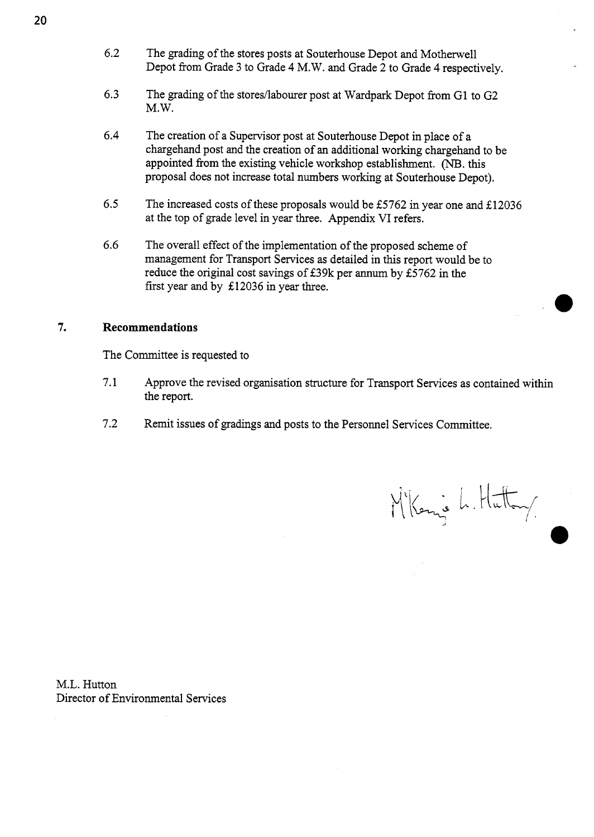- **6.2** The grading of the stores posts at Souterhouse Depot and Motherwell Depot from Grade **3** to Grade 4 M.W. and Grade **2** to Grade **4** respectively.
- **6.3** The grading of the stores/labourer post at Wardpark Depot from **G1** to G2 M.W.
- **6.4** The creation of a Supervisor post at Souterhouse Depot in place of a chargehand post and the creation of an additional working chargehand to be appointed from the existing vehicle workshop establishment. (NB. this proposal does not increase total numbers working at Souterhouse Depot).
- **6.5** The increased costs of these proposals would be **E5762** in year one and **E12036**  at the top of grade level in year three. Appendix VI refers.
- **6.6** The overall effect of the implementation of the proposed scheme of management for Transport Services as detailed in this report would be to reduce the original cost savings of **E39k** per annum by **E5762** in the first year and by **E12036** in year three.

### **7. Recommendations**

The Committee is requested to

- **7.1** Approve the revised organisation structure for Transport Services as contained within the report.
- **7.2** Remit issues of gradings and posts to the Personnel Services Committee.

M'Kenie L. Hutton

M.L. Hutton Director of Environmental Services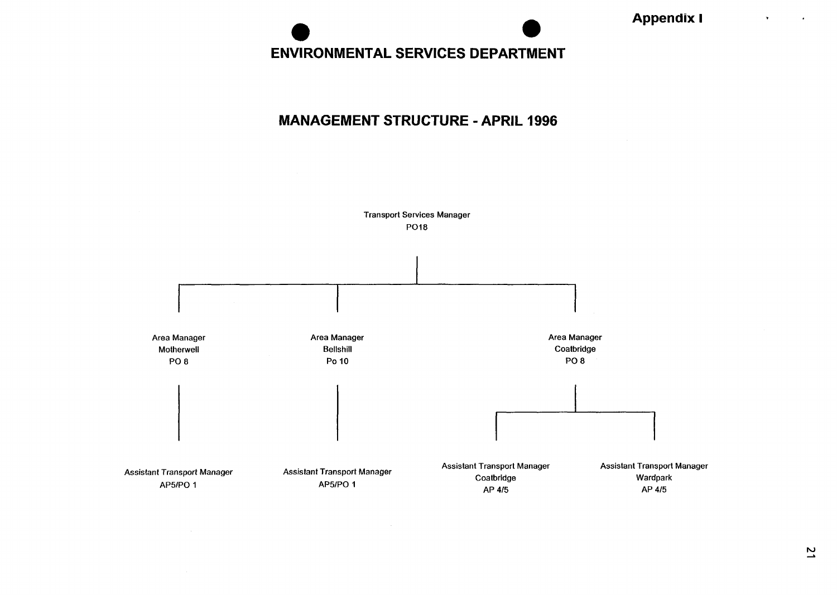### **ENVIRONMENTAL SERVICES DEPARTMENT**

### **MANAGEMENT STRUCTURE** - **APRIL 1996**

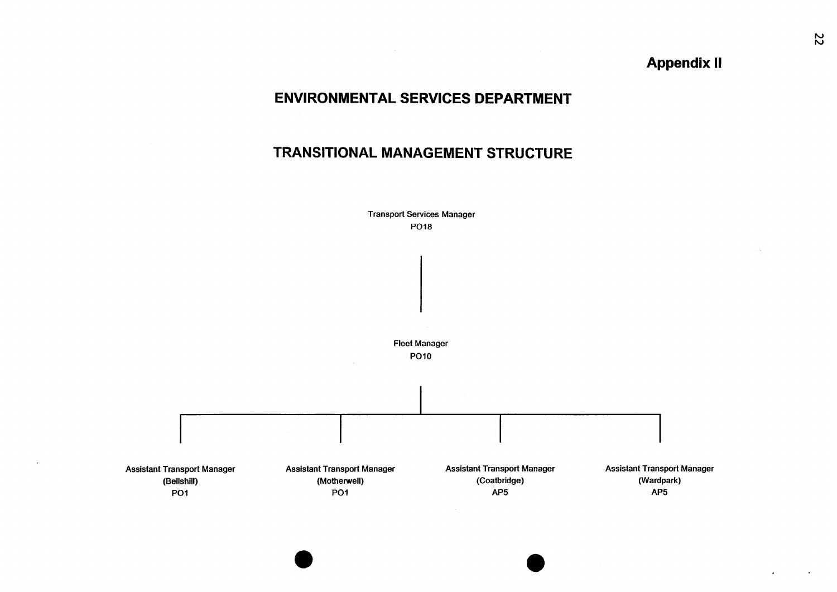### **Appendix II**

### **ENVIRONMENTAL SERVICES DEPARTMENT**

### **TRANSITIONAL MANAGEMENT STRUCTURE**

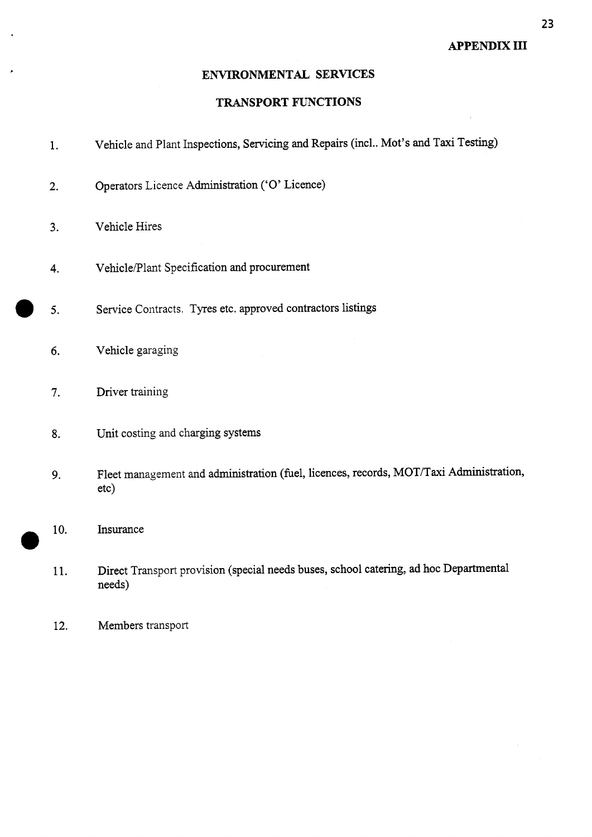### **ENVIRONMENTAL SERVICES**

### **TRANSPORT FUNCTIONS**

- 1. Vehicle and Plant Inspections, Servicing and Repairs (incl.. Mot's and Taxi Testing)
- **2.**  Operators Licence Administration *('0'* Licence)
- **3.**  Vehicle Hires
- **4.**  Vehicle/Plant Specification and procurement
- *0 5.*  Service Contracts. Tyres etc. approved contractors listings
	- *6.*  Vehicle garaging
	- **7.**  Driver training
	- **8.**  Unit costing and charging systems
	- *9.*  Fleet management and administration (fuel, licences, records, MOT/Taxi Administration, etc)
	- 10. *0*  Insurance
	- 11. Direct Transport provision (special needs buses, school catering, ad hoc Departmental needs)
	- 12. Members transport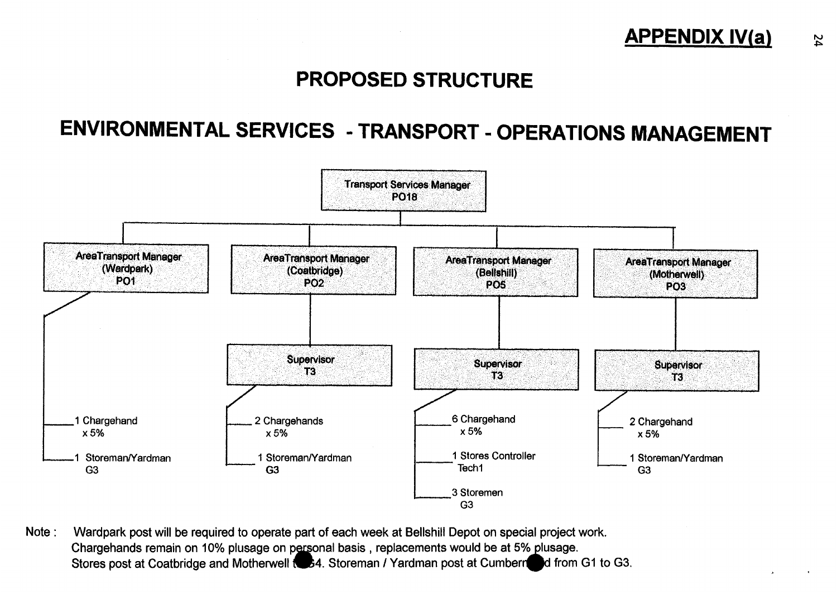

### **PROPOSED STRUCTURE**

## **ENVIRONMENTAL SERVICES** - **TRANSPORT** - **OPERATIONS MANAGEMENT**



Note : Wardpark post will be required to operate part of each week at Bellshill Depot on special project work. Chargehands remain on 10% plusage on personal basis , replacements would be at 5% plusage. vvardpark post will be required to operate part of each week at Bellshill Depot on special project work.<br>Chargehands remain on 10% plusage on personal basis , replacements would be at 5% plusage.<br>Stores post at Coatbridge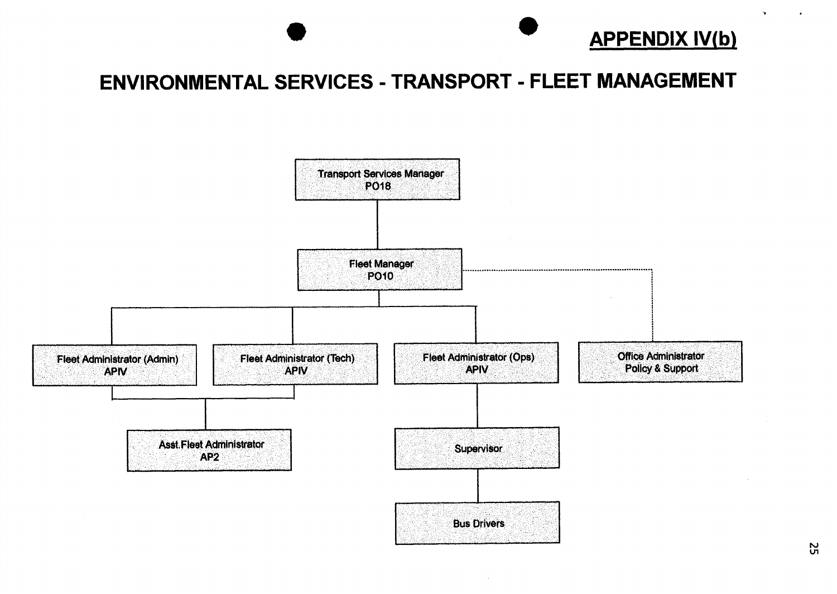

.

 $\mathcal{L}_{\mathbf{a}}$ 

# ENVIRONMENTAL SERVICES - TRANSPORT - FLEET MANAGEMENT



 $\frac{2}{5}$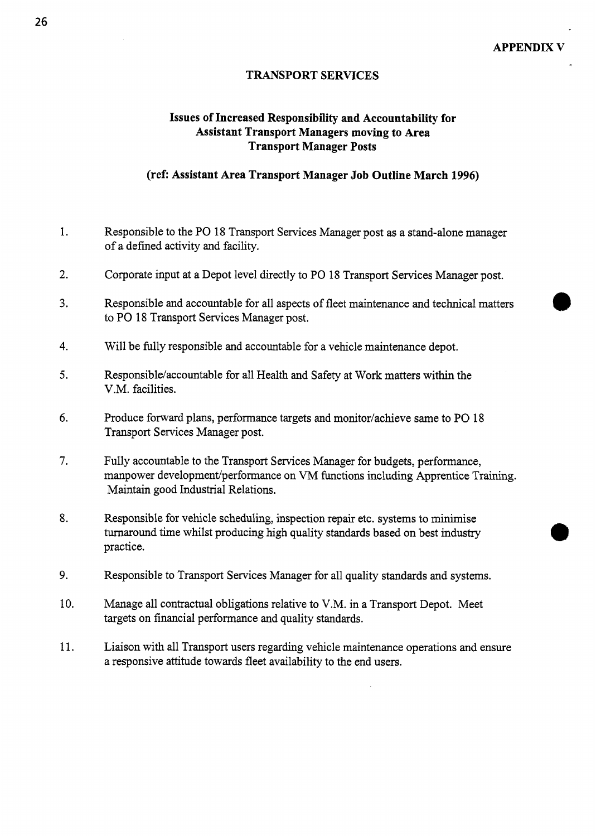### **TRANSPORT SERVICES**

### **Issues of Increased Responsibility and Accountability for Assistant Transport Managers moving to Area Transport Manager Posts**

### **(ref: Assistant Area Transport Manager Job Outline March 1996)**

- 1. Responsible to the PO 18 Transport Services Manager post as a stand-alone manager of a defined activity and facility.
- 2. Corporate input at a Depot level directly to PO 18 Transport Services Manager post.
- **3.**  Responsible and accountable for all aspects of fleet maintenance and technical matters to PO 18 Transport Services Manager post.
- 4. Will be fully responsible and accountable for a vehicle maintenance depot.
- *5.*  Responsible/accountable for all Health and Safety at Work matters within the V.M. facilities.
- *6.*  Produce forward plans, performance targets and monitor/achieve same to PO 18 Transport Services Manager post.
- **7.**  Fully accountable to the Transport Services Manager for budgets, performance, manpower development/performance on VM functions including Apprentice Training. Maintain good Industrial Relations.
- 8. Responsible for vehicle scheduling, inspection repair etc. systems to minimise turnaround time whilst producing high quality standards based on best industry practice.
- 9. Responsible to Transport Services Manager for all quality standards and systems.
- 10. Manage all contractual obligations relative to V.M. in a Transport Depot. Meet targets on financial performance and quality standards.
- 11. Liaison with all Transport users regarding vehicle maintenance operations and ensure a responsive attitude towards fleet availability to the end users.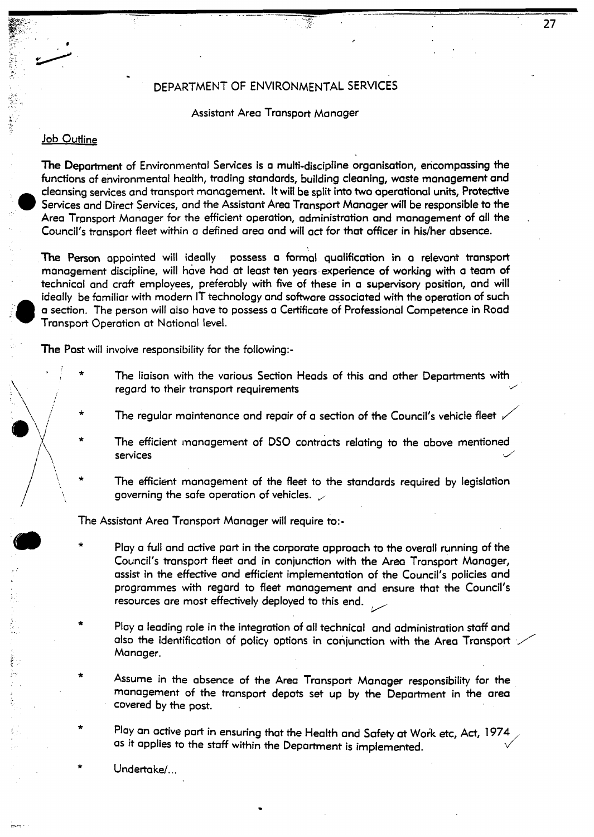### *<sup>c</sup>*. DEPARTMENT OF ENVIRONMENTAL SERVICES

#### Assistant Area Transport Manager

#### Job Outline

*i* 

**I@'\\/** Y \*

*m* 

 $\setminus$ 

**-i-** *w/* 

The Department of Environmental Services is a multi-discipline organisation, encompassing the functions of environmental health, trading standards, building cleaning, waste management and cleansing services and transport management. It will be split into **two** operational units, Protective Services and Direct Services, and the Assistant Area Transport Manager will be responsible to the Area Transport Manager for the efficient operation, administration and management of all the Council's transport fleet within a defined area and will act for that officer in his/her absence.

**The Person** appointed will ideally possess a formal qualification in a relevant transport management discipline, will have had at least ten years experience of working with a team of technical and craft employees, preferably with five of these in a supervisory position, and will ideally be familiar with modern IT technology and software associated with the operation **of** such a section. The person will also have to possess a Certificate of Professional Competence in Road Transport Operation at National level. .

The **Post** will involve responsibility for the following:-

- the liaison with the various Section Heads of this and other Departments with regard to their transport requirements<br>
The regular maintenance and repair of a section of the Council's vehicle fleet  $\bigvee$   $\Big\}$  :
	-
	- The efficient management of DSO contracts relating to the above mentioned services **de la communitation de la communitation de la communitation de la communitation de la communitation de la communitation de la communitation de la communitation de la communitation de la communitation de la commun**
- The efficient management of the fleet to the standards required by legislation governing the safe operation of vehicles.  $\swarrow$  $\star$ *<sup>1</sup>PI-:*

The Assistant Area Transport Manager will require to:-

- Play a full and active part in the corporate approach to the overall running of the Council's transport fleet and in conjunction with the Area Transport Manager, Fassist in the effective and efficient implementation of the Council's policies and programmes with regard to fleet management and ensure that the Council's resources are most effectively deployed to this end. programmes with regard to fleet management and ensure that the Council's resources are most effectively deployed to this end. \*
- Play a leading role in the integration of ail technical and administration staff and also the identification of policy options in conjunction with the Area Transport  $\cdot$ Manager. \*
- Assume in the absence of the Area Transport Manager responsibility for the management of the transport depots set up by the Depament in the area covered by the post. \*
- \* Play an active part in ensuring that the Health and Safety at Woik etc, Act, **<sup>1974</sup>** as it applies to the staff within the Deparhnent is implemented. *J* 
	- Undertake/...

27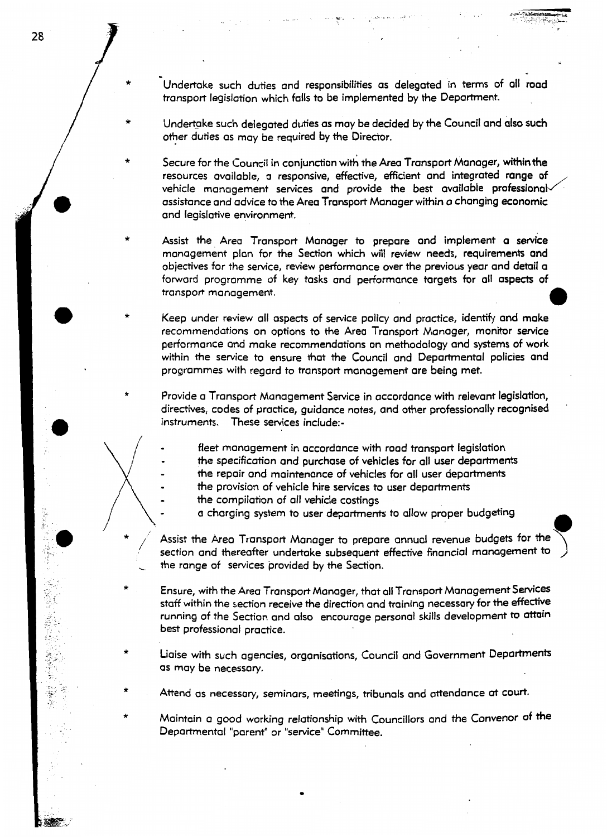**L**<br>Condertake such duties and responsibilities as delegated in terms of all road transport legislation which falls to be implemented by the Department.

**28** 

\*

\*

\*

\*

-

Undertake such delegated duties as may be decided by the Council and also such other duties as may be required by the Director.

Secure for the Council in conjunction with the Area Transport Manager, within the resources available, a responsive, effective, efficient and integrated range of assistance and advice to the Area Transport Manager within a changing economic and legislative environment. vehicle management services and provide the best available professional

\* Assist the Area Transport Manager to prepare and implement a service management plan for the Section which will review needs, requirements and objectives for the service, review performance over the previous year and detail a forward programme of key tasks and performance targets for all aspects of transport management. *0* 

Keep under review all aspects of service policy and practice, identify and make recommendations on options to the Area Transport Manager, monitor service performance and make recommendations on methodology and systems of work within the service to ensure that the Council and Departmental policies and programmes with regard to transport management are being met.

\* Provide a Transport Management Service in accordance with relevant legislation, directives, codes of practice, guidance notes, and other professionally recognised instruments. These services include:-

fleet management in accordance with road transport legislation

the specification and purchase of vehicles for all user departments

the repair and maintenance of vehicles for all user departments -

- the provision of vehicle hire services to user departments -
- the compilation of all vehicle costings -
	-
- The repair and maintenance of vehicles for all user departments<br> **1** a charging system to user departments to allow proper budgeting<br> **1** a charging system to user departments to allow proper budgeting<br> **1** Assist the Area  $\left($ \*/  $\begin{array}{c} \begin{array}{c} \end{array}\\ \begin{array}{c} \mathsf{se} \\ \end{array} \end{array}$ section and thereafter undertake subsequent effective financial management *to*  the range of services provided by the **Sociion.** 
	- \* Ensure, with the Area Transport Manager, that all Transport Management Services staff within the section receive the direction and training necessary for the effective running of the Section and also encourage personal skills development to attain best professional practice.
	- \* Liaise with such agencies, organisations, Council and Government Departments as may be necessary.
	- \* Attend as necessary, seminars, meetings, tribunals and attendance at court.
	- \* Maintain a good working relationship with Councillors and the Convenor **of** the Depamental "parent" or "service" Committee.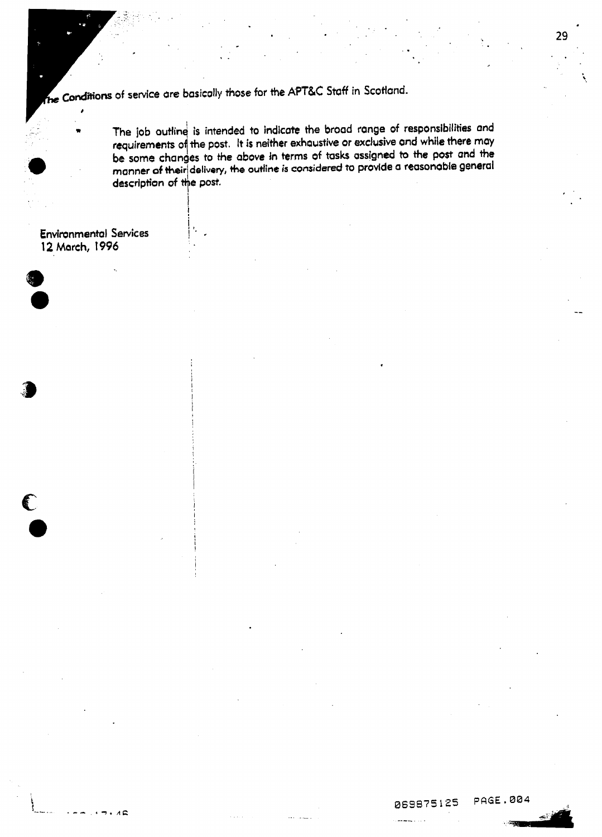$\ddot{\cdot}$ 

**adions of service are basically those** for **the** *kPT&C* **Staff in Scotlund.** 

I

 $\Lambda \subseteq$ 

\* **The** job **outline is intended** to **indicote the broad range** of **responsibilities and requirements** of **the post. It is neither exhaustive or exclusive and while there may be some changes to** *the* **above in terms of tasks assigned to the post and the**  I **o** be some changes to the above in terms of tasks assigned to the post and the manner of their delivery, the outline is considered to provide a reasonable general description of the post. description of the post.

\*. \*.

i \ *1.* **Environmental Services 12 March,** *1996* 

### **069875125 PAGE.004**

-.\_\_.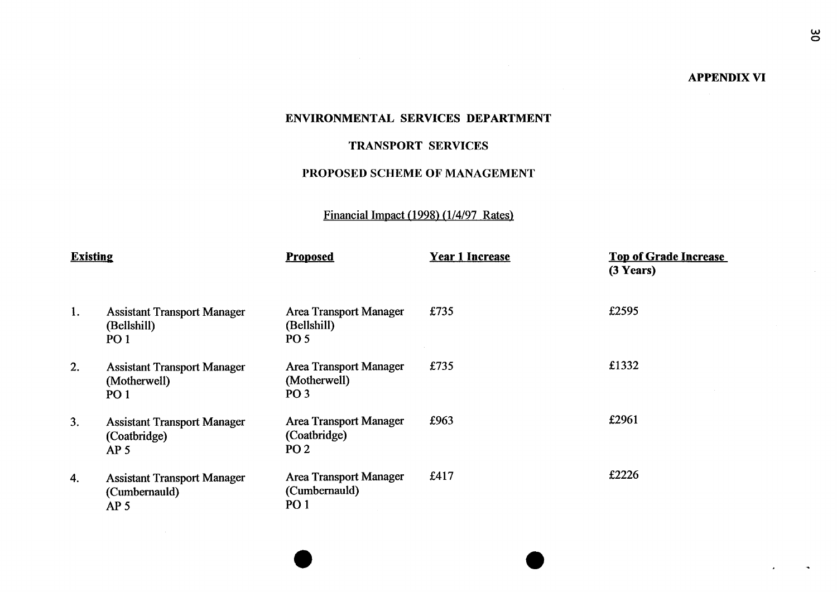### **APPENDIX VI**

### **ENVIRONMENTAL SERVICES DEPARTMENT**

### **TRANSPORT SERVICES**

### **PROPOSED SCHEME OF MANAGEMENT**

### Financial Impact (1998) (1/4/97 Rates)

| <b>Existing</b> |                                                                        | <b>Proposed</b>                                                  | <b>Year 1 Increase</b> | <b>Top of Grade Increase</b><br>$(3$ Years) |
|-----------------|------------------------------------------------------------------------|------------------------------------------------------------------|------------------------|---------------------------------------------|
| 1.              | <b>Assistant Transport Manager</b><br>(Bellshill)<br>PO <sub>1</sub>   | <b>Area Transport Manager</b><br>(Bellshill)<br><b>PO 5</b>      | £735                   | £2595                                       |
| 2.              | <b>Assistant Transport Manager</b><br>(Motherwell)<br>PO <sub>1</sub>  | <b>Area Transport Manager</b><br>(Motherwell)<br>PO <sub>3</sub> | £735                   | £1332                                       |
| 3.              | <b>Assistant Transport Manager</b><br>(Coatbridge)<br>AP <sub>5</sub>  | <b>Area Transport Manager</b><br>(Coatbridge)<br>PO <sub>2</sub> | £963                   | £2961                                       |
| 4.              | <b>Assistant Transport Manager</b><br>(Cumbernauld)<br>AP <sub>5</sub> | <b>Area Transport Manager</b><br>(Cumbernauld)<br><b>PO1</b>     | £417                   | £2226                                       |